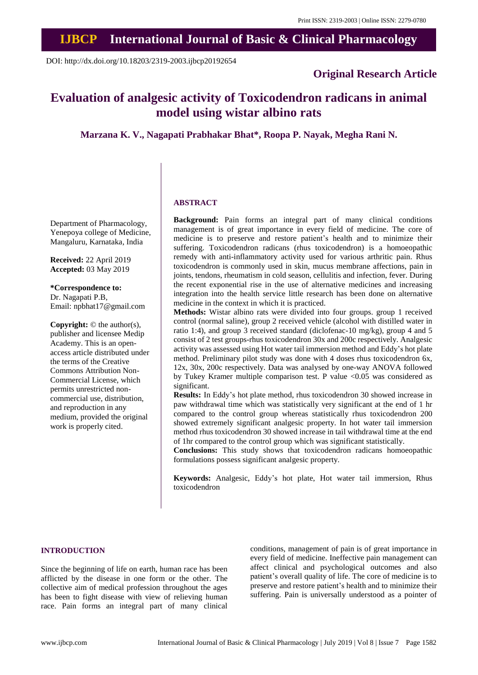# **IJBCP International Journal of Basic & Clinical Pharmacology**

DOI: http://dx.doi.org/10.18203/2319-2003.ijbcp20192654

### **Original Research Article**

## **Evaluation of analgesic activity of Toxicodendron radicans in animal model using wistar albino rats**

**Marzana K. V., Nagapati Prabhakar Bhat\*, Roopa P. Nayak, Megha Rani N.**

#### **ABSTRACT**

Department of Pharmacology, Yenepoya college of Medicine, Mangaluru, Karnataka, India

**Received:** 22 April 2019 **Accepted:** 03 May 2019

**\*Correspondence to:** Dr. Nagapati P.B, Email: npbhat17@gmail.com

**Copyright:** © the author(s), publisher and licensee Medip Academy. This is an openaccess article distributed under the terms of the Creative Commons Attribution Non-Commercial License, which permits unrestricted noncommercial use, distribution, and reproduction in any medium, provided the original work is properly cited.

**Background:** Pain forms an integral part of many clinical conditions management is of great importance in every field of medicine. The core of medicine is to preserve and restore patient's health and to minimize their suffering. Toxicodendron radicans (rhus toxicodendron) is a homoeopathic remedy with anti-inflammatory activity used for various arthritic pain. Rhus toxicodendron is commonly used in skin, mucus membrane affections, pain in joints, tendons, rheumatism in cold season, cellulitis and infection, fever. During the recent exponential rise in the use of alternative medicines and increasing integration into the health service little research has been done on alternative medicine in the context in which it is practiced.

**Methods:** Wistar albino rats were divided into four groups. group 1 received control (normal saline), group 2 received vehicle (alcohol with distilled water in ratio 1:4), and group 3 received standard (diclofenac-10 mg/kg), group 4 and 5 consist of 2 test groups-rhus toxicodendron 30x and 200c respectively. Analgesic activity was assessed using Hot water tail immersion method and Eddy's hot plate method. Preliminary pilot study was done with 4 doses rhus toxicodendron 6x, 12x, 30x, 200c respectively. Data was analysed by one-way ANOVA followed by Tukey Kramer multiple comparison test. P value <0.05 was considered as significant.

**Results:** In Eddy's hot plate method, rhus toxicodendron 30 showed increase in paw withdrawal time which was statistically very significant at the end of 1 hr compared to the control group whereas statistically rhus toxicodendron 200 showed extremely significant analgesic property. In hot water tail immersion method rhus toxicodendron 30 showed increase in tail withdrawal time at the end of 1hr compared to the control group which was significant statistically.

**Conclusions:** This study shows that toxicodendron radicans homoeopathic formulations possess significant analgesic property.

**Keywords:** Analgesic, Eddy's hot plate, Hot water tail immersion, Rhus toxicodendron

#### **INTRODUCTION**

Since the beginning of life on earth, human race has been afflicted by the disease in one form or the other. The collective aim of medical profession throughout the ages has been to fight disease with view of relieving human race. Pain forms an integral part of many clinical conditions, management of pain is of great importance in every field of medicine. Ineffective pain management can affect clinical and psychological outcomes and also patient's overall quality of life. The core of medicine is to preserve and restore patient's health and to minimize their suffering. Pain is universally understood as a pointer of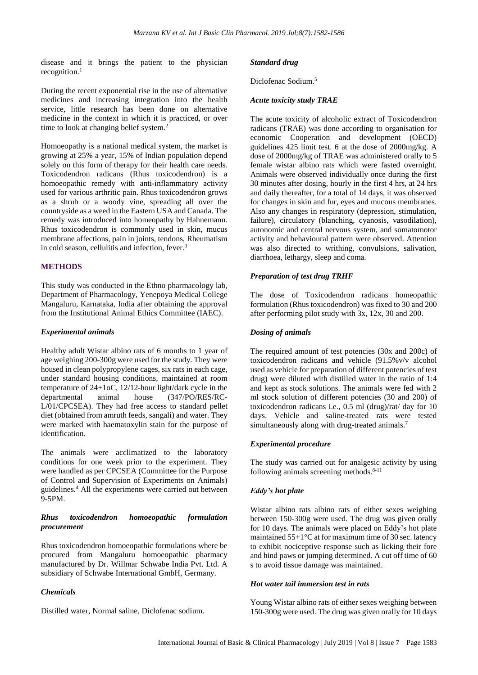disease and it brings the patient to the physician recognition. $<sup>1</sup>$ </sup>

During the recent exponential rise in the use of alternative medicines and increasing integration into the health service, little research has been done on alternative medicine in the context in which it is practiced, or over time to look at changing belief system.<sup>2</sup>

Homoeopathy is a national medical system, the market is growing at 25% a year, 15% of Indian population depend solely on this form of therapy for their health care needs. Toxicodendron radicans (Rhus toxicodendron) is a homoeopathic remedy with anti-inflammatory activity used for various arthritic pain. Rhus toxicodendron grows as a shrub or a woody vine, spreading all over the countryside as a weed in the Eastern USA and Canada. The remedy was introduced into homeopathy by Hahnemann. Rhus toxicodendron is commonly used in skin, mucus membrane affections, pain in joints, tendons, Rheumatism in cold season, cellulitis and infection, fever. 3

#### **METHODS**

This study was conducted in the Ethno pharmacology lab, Department of Pharmacology, Yenepoya Medical College Mangaluru, Karnataka, India after obtaining the approval from the Institutional Animal Ethics Committee (IAEC).

#### *Experimental animals*

Healthy adult Wistar albino rats of 6 months to 1 year of age weighing 200-300g were used for the study. They were housed in clean polypropylene cages, six rats in each cage, under standard housing conditions, maintained at room temperature of 24+1oC, 12/12-hour light/dark cycle in the departmental animal house (347/PO/RES/RC-L/01/CPCSEA). They had free access to standard pellet diet (obtained from amruth feeds, sangali) and water. They were marked with haematoxylin stain for the purpose of identification.

The animals were acclimatized to the laboratory conditions for one week prior to the experiment. They were handled as per CPCSEA (Committee for the Purpose of Control and Supervision of Experiments on Animals) guidelines.<sup>4</sup> All the experiments were carried out between 9-5PM.

#### *Rhus toxicodendron homoeopathic formulation procurement*

Rhus toxicodendron homoeopathic formulations where be procured from Mangaluru homoeopathic pharmacy manufactured by Dr. Willmar Schwabe India Pvt. Ltd. A subsidiary of Schwabe International GmbH, Germany.

#### *Chemicals*

Distilled water, Normal saline, Diclofenac sodium.

#### *Standard drug*

Diclofenac Sodium.<sup>5</sup>

#### *Acute toxicity study TRAE*

The acute toxicity of alcoholic extract of Toxicodendron radicans (TRAE) was done according to organisation for economic Cooperation and development (OECD) guidelines 425 limit test. 6 at the dose of 2000mg/kg. A dose of 2000mg/kg of TRAE was administered orally to 5 female wistar albino rats which were fasted overnight. Animals were observed individually once during the first 30 minutes after dosing, hourly in the first 4 hrs, at 24 hrs and daily thereafter, for a total of 14 days, it was observed for changes in skin and fur, eyes and mucous membranes. Also any changes in respiratory (depression, stimulation, failure), circulatory (blanching, cyanosis, vasodilation), autonomic and central nervous system, and somatomotor activity and behavioural pattern were observed. Attention was also directed to writhing, convulsions, salivation, diarrhoea, lethargy, sleep and coma.

#### *Preparation of test drug TRHF*

The dose of Toxicodendron radicans homeopathic formulation (Rhus toxicodendron) was fixed to 30 and 200 after performing pilot study with 3x, 12x, 30 and 200.

#### *Dosing of animals*

The required amount of test potencies (30x and 200c) of toxicodendron radicans and vehicle (91.5%v/v alcohol used as vehicle for preparation of different potencies of test drug) were diluted with distilled water in the ratio of 1:4 and kept as stock solutions. The animals were fed with 2 ml stock solution of different potencies (30 and 200) of toxicodendron radicans i.e., 0.5 ml (drug)/rat/ day for 10 days. Vehicle and saline-treated rats were tested simultaneously along with drug-treated animals.<sup>7</sup>

#### *Experimental procedure*

The study was carried out for analgesic activity by using following animals screening methods. $8-11$ 

#### *Eddy's hot plate*

Wistar albino rats albino rats of either sexes weighing between 150-300g were used. The drug was given orally for 10 days. The animals were placed on Eddy's hot plate maintained 55+1°C at for maximum time of 30 sec. latency to exhibit nociceptive response such as licking their fore and hind paws or jumping determined. A cut off time of 60 s to avoid tissue damage was maintained.

#### *Hot water tail immersion test in rats*

Young Wistar albino rats of either sexes weighing between 150-300g were used. The drug was given orally for 10 days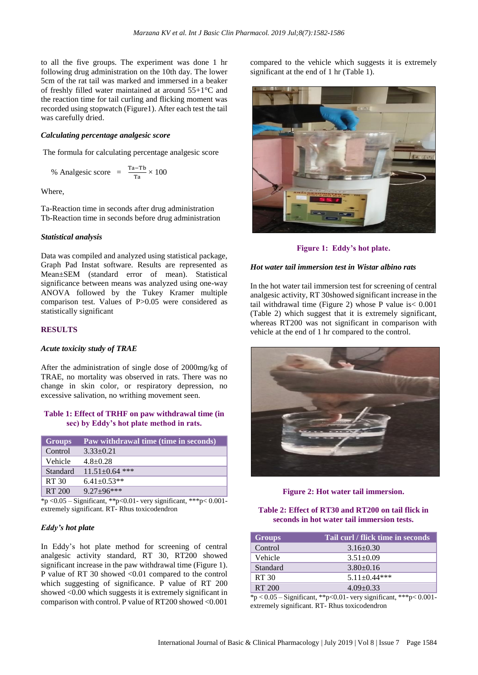to all the five groups. The experiment was done 1 hr following drug administration on the 10th day. The lower 5cm of the rat tail was marked and immersed in a beaker of freshly filled water maintained at around 55+1°C and the reaction time for tail curling and flicking moment was recorded using stopwatch (Figure1). After each test the tail was carefully dried.

#### *Calculating percentage analgesic score*

The formula for calculating percentage analgesic score

% Analgesic score = 
$$
\frac{\text{Ta-Tb}}{\text{Ta}} \times 100
$$

Where,

Ta-Reaction time in seconds after drug administration Tb-Reaction time in seconds before drug administration

#### *Statistical analysis*

Data was compiled and analyzed using statistical package, Graph Pad Instat software. Results are represented as Mean±SEM (standard error of mean). Statistical significance between means was analyzed using one-way ANOVA followed by the Tukey Kramer multiple comparison test. Values of P>0.05 were considered as statistically significant

#### **RESULTS**

#### *Acute toxicity study of TRAE*

After the administration of single dose of 2000mg/kg of TRAE, no mortality was observed in rats. There was no change in skin color, or respiratory depression, no excessive salivation, no writhing movement seen.

#### **Table 1: Effect of TRHF on paw withdrawal time (in sec) by Eddy's hot plate method in rats.**

| <b>Groups</b> | Paw withdrawal time (time in seconds) |
|---------------|---------------------------------------|
| Control       | $3.33+0.21$                           |
| Vehicle       | $4.8 + 0.28$                          |
| Standard      | $11.51 + 0.64$ ***                    |
| RT 30         | $6.41 \pm 0.53**$                     |
| RT 200        | $9.27 + 96$ ***                       |

 $*_{p < 0.05}$  – Significant, \*\*p<0.01- very significant, \*\*\*p<0.001extremely significant. RT- Rhus toxicodendron

#### *Eddy's hot plate*

In Eddy's hot plate method for screening of central analgesic activity standard, RT 30, RT200 showed significant increase in the paw withdrawal time (Figure 1). P value of RT 30 showed <0.01 compared to the control which suggesting of significance. P value of RT 200 showed <0.00 which suggests it is extremely significant in comparison with control. P value of RT200 showed <0.001 compared to the vehicle which suggests it is extremely significant at the end of 1 hr (Table 1).



**Figure 1: Eddy's hot plate.**

#### *Hot water tail immersion test in Wistar albino rats*

In the hot water tail immersion test for screening of central analgesic activity, RT 30showed significant increase in the tail withdrawal time (Figure 2) whose P value is< 0.001 (Table 2) which suggest that it is extremely significant, whereas RT200 was not significant in comparison with vehicle at the end of 1 hr compared to the control.



**Figure 2: Hot water tail immersion.** 

**Table 2: Effect of RT30 and RT200 on tail flick in seconds in hot water tail immersion tests.** 

| <b>Groups</b> | Tail curl / flick time in seconds |
|---------------|-----------------------------------|
| Control       | $3.16 \pm 0.30$                   |
| Vehicle       | $3.51 \pm 0.09$                   |
| Standard      | $3.80 + 0.16$                     |
| RT 30         | $5.11 \pm 0.44$ ***               |
| RT 200        | $4.09 + 0.33$                     |

\*p < 0.05 – Significant, \*\*p<0.01- very significant, \*\*\*p< 0.001 extremely significant. RT- Rhus toxicodendron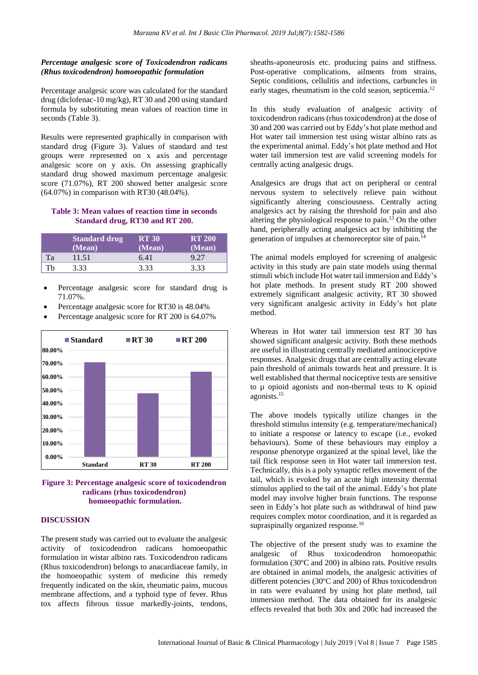#### *Percentage analgesic score of Toxicodendron radicans (Rhus toxicodendron) homoeopathic formulation*

Percentage analgesic score was calculated for the standard drug (diclofenac-10 mg/kg), RT 30 and 200 using standard formula by substituting mean values of reaction time in seconds (Table 3).

Results were represented graphically in comparison with standard drug (Figure 3). Values of standard and test groups were represented on x axis and percentage analgesic score on y axis. On assessing graphically standard drug showed maximum percentage analgesic score (71.07%), RT 200 showed better analgesic score (64.07%) in comparison with RT30 (48.04%).

#### **Table 3: Mean values of reaction time in seconds Standard drug, RT30 and RT 200.**

|     | <b>Standard drug</b><br>(Mean) | <b>RT 30</b><br>(Mean) | <b>RT 200</b><br>(Mean) |
|-----|--------------------------------|------------------------|-------------------------|
| Tа  | 11.51                          | 6.41                   | 9.27                    |
| Th. | 3.33                           | 3.33                   | 3.33                    |

- Percentage analgesic score for standard drug is 71.07%.
- Percentage analgesic score for RT30 is 48.04%
- Percentage analgesic score for RT 200 is 64.07%





#### **DISCUSSION**

The present study was carried out to evaluate the analgesic activity of toxicodendron radicans homoeopathic formulation in wistar albino rats. Toxicodendron radicans (Rhus toxicodendron) belongs to anacardiaceae family, in the homoeopathic system of medicine this remedy frequently indicated on the skin, rheumatic pains, mucous membrane affections, and a typhoid type of fever. Rhus tox affects fibrous tissue markedly-joints, tendons,

sheaths-aponeurosis etc. producing pains and stiffness. Post-operative complications, ailments from strains, Septic conditions, cellulitis and infections, carbuncles in early stages, rheumatism in the cold season, septicemia.<sup>12</sup>

In this study evaluation of analgesic activity of toxicodendron radicans (rhus toxicodendron) at the dose of 30 and 200 was carried out by Eddy's hot plate method and Hot water tail immersion test using wistar albino rats as the experimental animal. Eddy's hot plate method and Hot water tail immersion test are valid screening models for centrally acting analgesic drugs.

Analgesics are drugs that act on peripheral or central nervous system to selectively relieve pain without significantly altering consciousness. Centrally acting analgesics act by raising the threshold for pain and also altering the physiological response to pain.<sup>13</sup> On the other hand, peripherally acting analgesics act by inhibiting the generation of impulses at chemoreceptor site of pain.<sup>14</sup>

The animal models employed for screening of analgesic activity in this study are pain state models using thermal stimuli which include Hot water tail immersion and Eddy's hot plate methods. In present study RT 200 showed extremely significant analgesic activity, RT 30 showed very significant analgesic activity in Eddy's hot plate method.

Whereas in Hot water tail immersion test RT 30 has showed significant analgesic activity. Both these methods are useful in illustrating centrally mediated antinociceptive responses. Analgesic drugs that are centrally acting elevate pain threshold of animals towards heat and pressure. It is well established that thermal nociceptive tests are sensitive to µ opioid agonists and non-thermal tests to K opioid agonists.<sup>15</sup>

The above models typically utilize changes in the threshold stimulus intensity (e.g. temperature/mechanical) to initiate a response or latency to escape (i.e., evoked behaviours). Some of these behaviours may employ a response phenotype organized at the spinal level, like the tail flick response seen in Hot water tail immersion test. Technically, this is a poly synaptic reflex movement of the tail, which is evoked by an acute high intensity thermal stimulus applied to the tail of the animal. Eddy's hot plate model may involve higher brain functions. The response seen in Eddy's hot plate such as withdrawal of hind paw requires complex motor coordination, and it is regarded as supraspinally organized response.<sup>16</sup>

The objective of the present study was to examine the analgesic of Rhus toxicodendron homoeopathic formulation (30ºC and 200) in albino rats. Positive results are obtained in animal models, the analgesic activities of different potencies (30ºC and 200) of Rhus toxicodendron in rats were evaluated by using hot plate method, tail immersion method. The data obtained for its analgesic effects revealed that both 30x and 200c had increased the